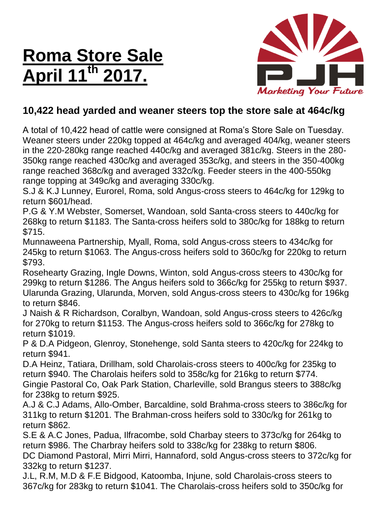## **Roma Store Sale April 11th 2017.**



### **10,422 head yarded and weaner steers top the store sale at 464c/kg**

A total of 10,422 head of cattle were consigned at Roma's Store Sale on Tuesday. Weaner steers under 220kg topped at 464c/kg and averaged 404/kg, weaner steers in the 220-280kg range reached 440c/kg and averaged 381c/kg. Steers in the 280- 350kg range reached 430c/kg and averaged 353c/kg, and steers in the 350-400kg range reached 368c/kg and averaged 332c/kg. Feeder steers in the 400-550kg range topping at 349c/kg and averaging 330c/kg.

S.J & K.J Lunney, Eurorel, Roma, sold Angus-cross steers to 464c/kg for 129kg to return \$601/head.

P.G & Y.M Webster, Somerset, Wandoan, sold Santa-cross steers to 440c/kg for 268kg to return \$1183. The Santa-cross heifers sold to 380c/kg for 188kg to return \$715.

Munnaweena Partnership, Myall, Roma, sold Angus-cross steers to 434c/kg for 245kg to return \$1063. The Angus-cross heifers sold to 360c/kg for 220kg to return \$793.

Rosehearty Grazing, Ingle Downs, Winton, sold Angus-cross steers to 430c/kg for 299kg to return \$1286. The Angus heifers sold to 366c/kg for 255kg to return \$937. Ularunda Grazing, Ularunda, Morven, sold Angus-cross steers to 430c/kg for 196kg to return \$846.

J Naish & R Richardson, Coralbyn, Wandoan, sold Angus-cross steers to 426c/kg for 270kg to return \$1153. The Angus-cross heifers sold to 366c/kg for 278kg to return \$1019.

P & D.A Pidgeon, Glenroy, Stonehenge, sold Santa steers to 420c/kg for 224kg to return \$941.

D.A Heinz, Tatiara, Drillham, sold Charolais-cross steers to 400c/kg for 235kg to return \$940. The Charolais heifers sold to 358c/kg for 216kg to return \$774. Gingie Pastoral Co, Oak Park Station, Charleville, sold Brangus steers to 388c/kg for 238kg to return \$925.

A.J & C.J Adams, Allo-Omber, Barcaldine, sold Brahma-cross steers to 386c/kg for 311kg to return \$1201. The Brahman-cross heifers sold to 330c/kg for 261kg to return \$862.

S.E & A.C Jones, Padua, Ilfracombe, sold Charbay steers to 373c/kg for 264kg to return \$986. The Charbray heifers sold to 338c/kg for 238kg to return \$806. DC Diamond Pastoral, Mirri Mirri, Hannaford, sold Angus-cross steers to 372c/kg for 332kg to return \$1237.

J.L, R.M, M.D & F.E Bidgood, Katoomba, Injune, sold Charolais-cross steers to 367c/kg for 283kg to return \$1041. The Charolais-cross heifers sold to 350c/kg for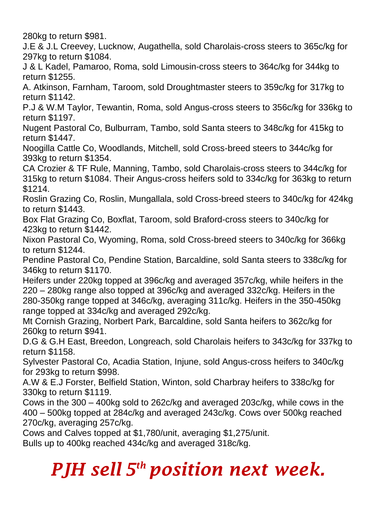280kg to return \$981.

J.E & J.L Creevey, Lucknow, Augathella, sold Charolais-cross steers to 365c/kg for 297kg to return \$1084.

J & L Kadel, Pamaroo, Roma, sold Limousin-cross steers to 364c/kg for 344kg to return \$1255.

A. Atkinson, Farnham, Taroom, sold Droughtmaster steers to 359c/kg for 317kg to return \$1142.

P.J & W.M Taylor, Tewantin, Roma, sold Angus-cross steers to 356c/kg for 336kg to return \$1197.

Nugent Pastoral Co, Bulburram, Tambo, sold Santa steers to 348c/kg for 415kg to return \$1447.

Noogilla Cattle Co, Woodlands, Mitchell, sold Cross-breed steers to 344c/kg for 393kg to return \$1354.

CA Crozier & TF Rule, Manning, Tambo, sold Charolais-cross steers to 344c/kg for 315kg to return \$1084. Their Angus-cross heifers sold to 334c/kg for 363kg to return \$1214.

Roslin Grazing Co, Roslin, Mungallala, sold Cross-breed steers to 340c/kg for 424kg to return \$1443.

Box Flat Grazing Co, Boxflat, Taroom, sold Braford-cross steers to 340c/kg for 423kg to return \$1442.

Nixon Pastoral Co, Wyoming, Roma, sold Cross-breed steers to 340c/kg for 366kg to return \$1244.

Pendine Pastoral Co, Pendine Station, Barcaldine, sold Santa steers to 338c/kg for 346kg to return \$1170.

Heifers under 220kg topped at 396c/kg and averaged 357c/kg, while heifers in the 220 – 280kg range also topped at 396c/kg and averaged 332c/kg. Heifers in the 280-350kg range topped at 346c/kg, averaging 311c/kg. Heifers in the 350-450kg range topped at 334c/kg and averaged 292c/kg.

Mt Cornish Grazing, Norbert Park, Barcaldine, sold Santa heifers to 362c/kg for 260kg to return \$941.

D.G & G.H East, Breedon, Longreach, sold Charolais heifers to 343c/kg for 337kg to return \$1158.

Sylvester Pastoral Co, Acadia Station, Injune, sold Angus-cross heifers to 340c/kg for 293kg to return \$998.

A.W & E.J Forster, Belfield Station, Winton, sold Charbray heifers to 338c/kg for 330kg to return \$1119.

Cows in the 300 – 400kg sold to 262c/kg and averaged 203c/kg, while cows in the 400 – 500kg topped at 284c/kg and averaged 243c/kg. Cows over 500kg reached 270c/kg, averaging 257c/kg.

Cows and Calves topped at \$1,780/unit, averaging \$1,275/unit.

Bulls up to 400kg reached 434c/kg and averaged 318c/kg.

# *PJH sell 5 th position next week.*